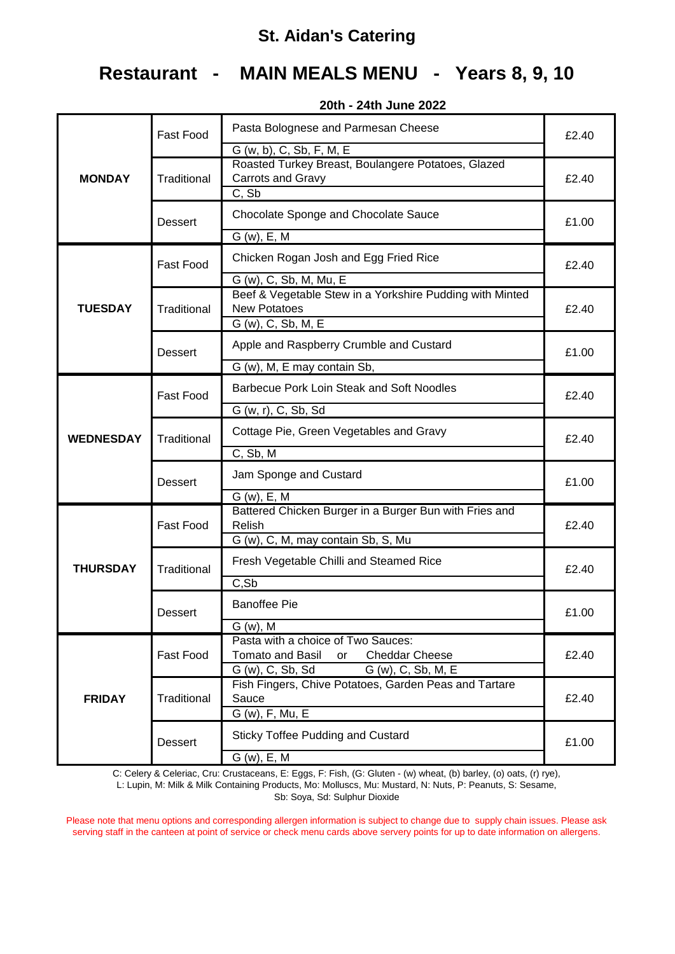# **Restaurant - MAIN MEALS MENU - Years 8, 9, 10**

|                  | <b>Fast Food</b> | Pasta Bolognese and Parmesan Cheese<br>G (w, b), C, Sb, F, M, E                                                                 | £2.40 |  |
|------------------|------------------|---------------------------------------------------------------------------------------------------------------------------------|-------|--|
| <b>MONDAY</b>    | Traditional      | Roasted Turkey Breast, Boulangere Potatoes, Glazed<br>Carrots and Gravy<br>C, Sb                                                | £2.40 |  |
|                  | <b>Dessert</b>   | Chocolate Sponge and Chocolate Sauce                                                                                            | £1.00 |  |
|                  |                  | $G(w)$ , E, M                                                                                                                   |       |  |
|                  | <b>Fast Food</b> | Chicken Rogan Josh and Egg Fried Rice                                                                                           | £2.40 |  |
| <b>TUESDAY</b>   | Traditional      | G (w), C, Sb, M, Mu, E<br>Beef & Vegetable Stew in a Yorkshire Pudding with Minted<br><b>New Potatoes</b><br>G (w), C, Sb, M, E | £2.40 |  |
|                  | <b>Dessert</b>   | Apple and Raspberry Crumble and Custard                                                                                         | £1.00 |  |
|                  |                  | G (w), M, E may contain Sb,                                                                                                     |       |  |
|                  | <b>Fast Food</b> | Barbecue Pork Loin Steak and Soft Noodles                                                                                       | £2.40 |  |
|                  |                  | G (w, r), C, Sb, Sd                                                                                                             |       |  |
| <b>WEDNESDAY</b> | Traditional      | Cottage Pie, Green Vegetables and Gravy                                                                                         | £2.40 |  |
|                  |                  | C, Sb, M                                                                                                                        |       |  |
|                  | <b>Dessert</b>   | Jam Sponge and Custard                                                                                                          | £1.00 |  |
|                  |                  | $G(w)$ , E, M                                                                                                                   |       |  |
|                  | <b>Fast Food</b> | Battered Chicken Burger in a Burger Bun with Fries and<br>Relish                                                                | £2.40 |  |
|                  |                  | G (w), C, M, may contain Sb, S, Mu                                                                                              |       |  |
| <b>THURSDAY</b>  | Traditional      | Fresh Vegetable Chilli and Steamed Rice                                                                                         | £2.40 |  |
|                  |                  | C, Sb                                                                                                                           |       |  |
|                  | Dessert          | <b>Banoffee Pie</b>                                                                                                             | £1.00 |  |
|                  |                  | G (w), M                                                                                                                        |       |  |
| <b>FRIDAY</b>    | Fast Food        | Pasta with a choice of Two Sauces:<br>Tomato and Basil or<br><b>Cheddar Cheese</b>                                              |       |  |
|                  |                  | G (w), C, Sb, Sd<br>G (w), C, Sb, M, E                                                                                          | £2.40 |  |
|                  |                  | Fish Fingers, Chive Potatoes, Garden Peas and Tartare                                                                           |       |  |
|                  | Traditional      | Sauce                                                                                                                           | £2.40 |  |
|                  |                  | G (w), F, Mu, E                                                                                                                 |       |  |
|                  | <b>Dessert</b>   | <b>Sticky Toffee Pudding and Custard</b>                                                                                        | £1.00 |  |
|                  |                  | $G(w)$ , E, M                                                                                                                   |       |  |

**20th - 24th June 2022**

C: Celery & Celeriac, Cru: Crustaceans, E: Eggs, F: Fish, (G: Gluten - (w) wheat, (b) barley, (o) oats, (r) rye),

L: Lupin, M: Milk & Milk Containing Products, Mo: Molluscs, Mu: Mustard, N: Nuts, P: Peanuts, S: Sesame, Sb: Soya, Sd: Sulphur Dioxide

Please note that menu options and corresponding allergen information is subject to change due to supply chain issues. Please ask serving staff in the canteen at point of service or check menu cards above servery points for up to date information on allergens.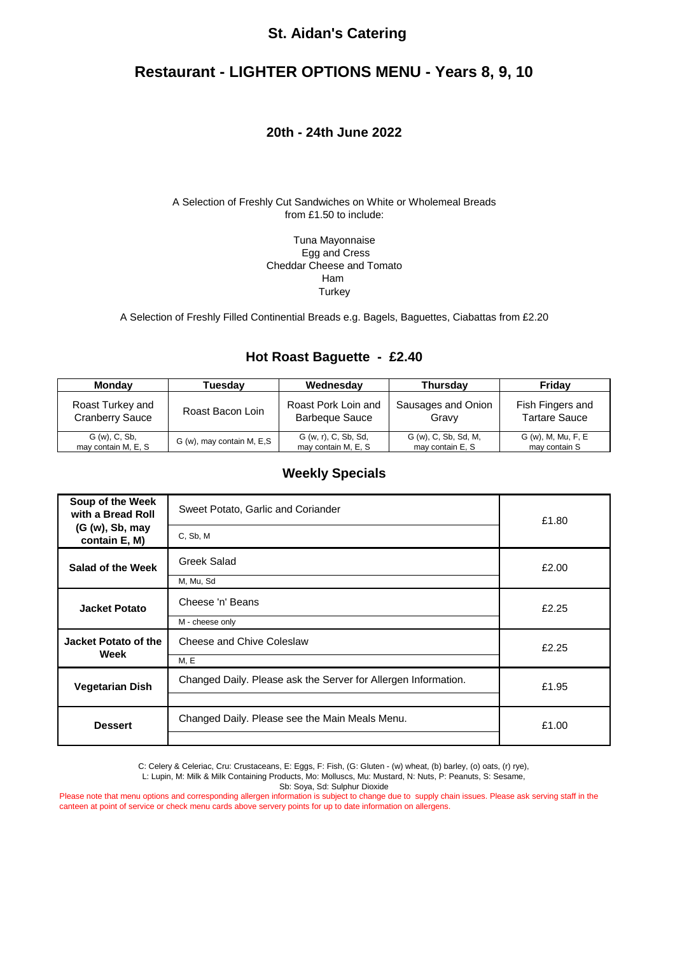#### **Restaurant - LIGHTER OPTIONS MENU - Years 8, 9, 10**

#### **20th - 24th June 2022**

#### A Selection of Freshly Cut Sandwiches on White or Wholemeal Breads from £1.50 to include:

Tuna Mayonnaise Egg and Cress Cheddar Cheese and Tomato Ham **Turkey** 

A Selection of Freshly Filled Continential Breads e.g. Bagels, Baguettes, Ciabattas from £2.20

#### **Hot Roast Baguette - £2.40**

| Mondav                 | Tuesdav                   | Wednesday             | <b>Thursdav</b>      | Friday               |
|------------------------|---------------------------|-----------------------|----------------------|----------------------|
| Roast Turkey and       | Roast Bacon Loin          | Roast Pork Loin and   | Sausages and Onion   | Fish Fingers and     |
| <b>Cranberry Sauce</b> |                           | <b>Barbeque Sauce</b> | Gravv                | <b>Tartare Sauce</b> |
| G (w), C, Sb,          | G (w), may contain M, E,S | G (w, r), C, Sb, Sd,  | G (w), C, Sb, Sd, M, | G (w), M, Mu, F, E   |
| may contain M, E, S    |                           | may contain M, E, S   | may contain E, S     | may contain S        |

#### **Weekly Specials**

| Soup of the Week<br>with a Bread Roll                                                    | Sweet Potato, Garlic and Coriander             | £1.80 |
|------------------------------------------------------------------------------------------|------------------------------------------------|-------|
| (G (w), Sb, may<br>contain E, M)                                                         | C, Sb, M                                       |       |
| Salad of the Week                                                                        | Greek Salad                                    | £2.00 |
|                                                                                          | M, Mu, Sd                                      |       |
| <b>Jacket Potato</b>                                                                     | Cheese 'n' Beans                               | £2.25 |
|                                                                                          | M - cheese only                                |       |
| Jacket Potato of the<br>Week                                                             | Cheese and Chive Coleslaw                      | £2.25 |
|                                                                                          | M, E                                           |       |
| Changed Daily. Please ask the Server for Allergen Information.<br><b>Vegetarian Dish</b> |                                                | £1.95 |
|                                                                                          |                                                |       |
| <b>Dessert</b>                                                                           | Changed Daily. Please see the Main Meals Menu. | £1.00 |
|                                                                                          |                                                |       |

C: Celery & Celeriac, Cru: Crustaceans, E: Eggs, F: Fish, (G: Gluten - (w) wheat, (b) barley, (o) oats, (r) rye),

L: Lupin, M: Milk & Milk Containing Products, Mo: Molluscs, Mu: Mustard, N: Nuts, P: Peanuts, S: Sesame,

Sb: Soya, Sd: Sulphur Dioxide

Please note that menu options and corresponding allergen information is subject to change due to supply chain issues. Please ask serving staff in the canteen at point of service or check menu cards above servery points for up to date information on allergens.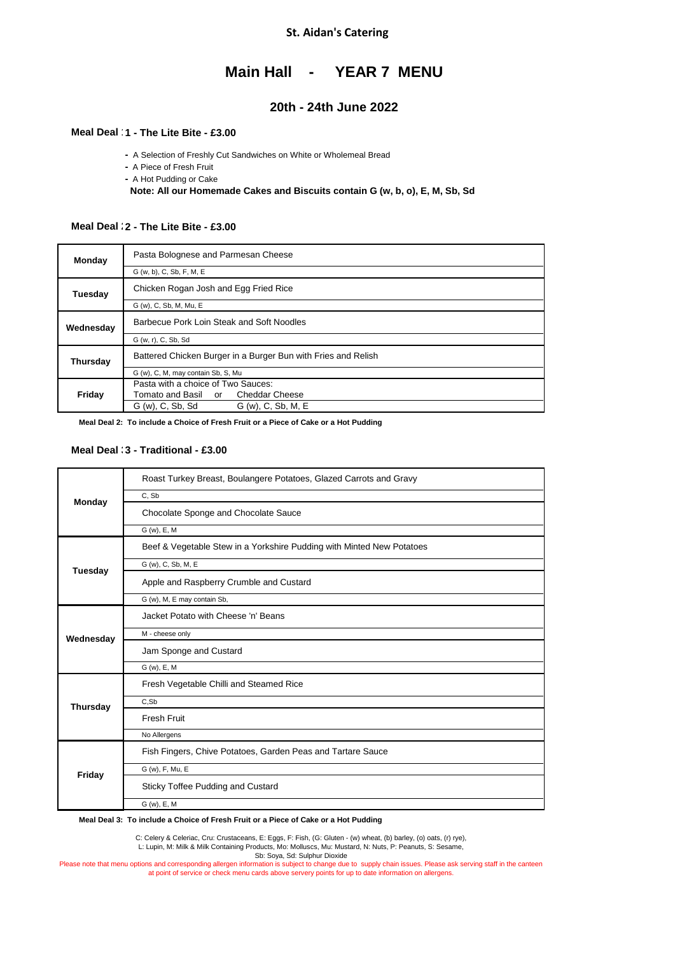#### **Main Hall - YEAR 7 MENU**

#### **20th - 24th June 2022**

#### **Meal Deal 1 - The Lite Bite - £2.45 1 - The Lite Bite - £3.00**

**-** A Selection of Freshly Cut Sandwiches on White or Wholemeal Bread

**-** A Piece of Fresh Fruit

**-** A Hot Pudding or Cake

 **Note: All our Homemade Cakes and Biscuits contain G (w, b, o), E, M, Sb, Sd**

#### **Meal Deal : 2 - The Lite Bite - £3.00**

| Monday    | Pasta Bolognese and Parmesan Cheese                           |  |
|-----------|---------------------------------------------------------------|--|
|           | G (w, b), C, Sb, F, M, E                                      |  |
| Tuesdav   | Chicken Rogan Josh and Egg Fried Rice                         |  |
|           | G (w), C, Sb, M, Mu, E                                        |  |
| Wednesday | Barbecue Pork Loin Steak and Soft Noodles                     |  |
|           | G (w, r), C, Sb, Sd                                           |  |
| Thursday  | Battered Chicken Burger in a Burger Bun with Fries and Relish |  |
|           | G (w), C, M, may contain Sb, S, Mu                            |  |
| Friday    | Pasta with a choice of Two Sauces:                            |  |
|           | Tomato and Basil or Cheddar Cheese                            |  |
|           | G (w), C, Sb, Sd<br>G (w), C, Sb, M, E                        |  |

 **Meal Deal 2: To include a Choice of Fresh Fruit or a Piece of Cake or a Hot Pudding**

#### **Meal Deal 3 - Traditional - £2.65 3 - Traditional - £3.00**

|                 | Roast Turkey Breast, Boulangere Potatoes, Glazed Carrots and Gravy    |
|-----------------|-----------------------------------------------------------------------|
| Monday          | C, Sb                                                                 |
|                 | Chocolate Sponge and Chocolate Sauce                                  |
|                 | G (w), E, M                                                           |
|                 | Beef & Vegetable Stew in a Yorkshire Pudding with Minted New Potatoes |
| Tuesday         | G (w), C, Sb, M, E                                                    |
|                 | Apple and Raspberry Crumble and Custard                               |
|                 | G (w), M, E may contain Sb,                                           |
|                 | Jacket Potato with Cheese 'n' Beans                                   |
| Wednesday       | M - cheese only                                                       |
|                 | Jam Sponge and Custard                                                |
|                 | G (w), E, M                                                           |
|                 | Fresh Vegetable Chilli and Steamed Rice                               |
| <b>Thursday</b> | C,Sb                                                                  |
|                 | <b>Fresh Fruit</b>                                                    |
|                 | No Allergens                                                          |
| Friday          | Fish Fingers, Chive Potatoes, Garden Peas and Tartare Sauce           |
|                 | G (w), F, Mu, E                                                       |
|                 | <b>Sticky Toffee Pudding and Custard</b>                              |
|                 | G (w), E, M                                                           |

 **Meal Deal 3: To include a Choice of Fresh Fruit or a Piece of Cake or a Hot Pudding**

C: Celery & Celeriac, Cru: Crustaceans, E: Eggs, F: Fish, (G: Gluten - (w) wheat, (b) barley, (o) oats, (r) rye),

L: Lupin, M: Milk & Milk Containing Products, Mo: Molluscs, Mu: Mustard, N: Nuts, P: Peanuts, S: Sesame,

Sb: Soya, Sd: Sulphur Dioxide

Please note that menu options and corresponding allergen information is subject to change due to supply chain issues. Please ask serving staff in the canteen<br>at point of service or check menu cards above servery points for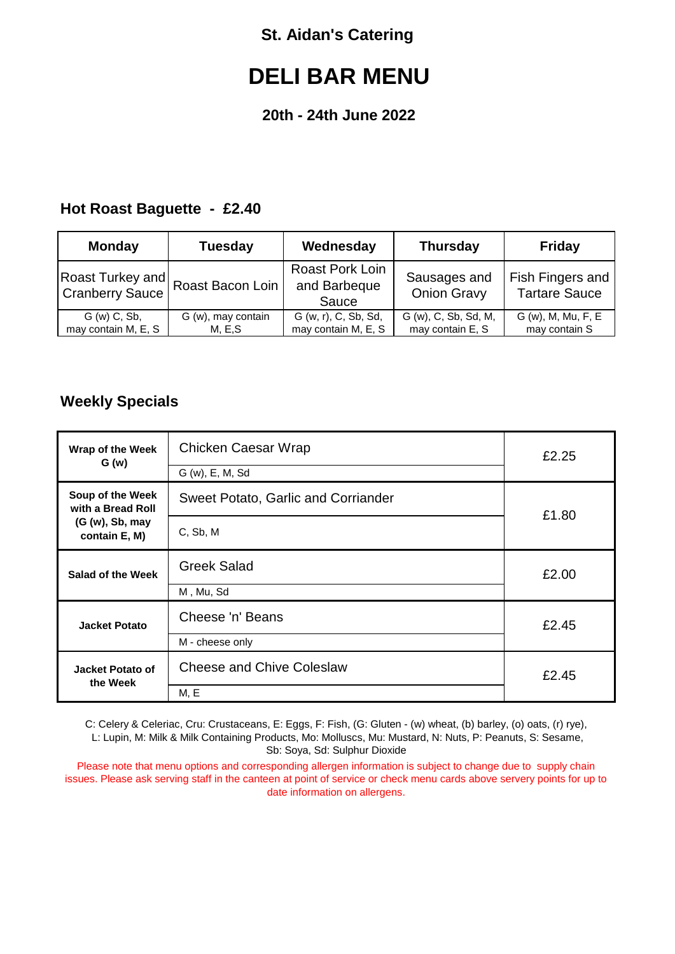# **DELI BAR MENU**

### **20th - 24th June 2022**

### **Hot Roast Baguette - £2.40**

| <b>Tuesday</b>     | Wednesday                                       | <b>Thursday</b>                    | <b>Friday</b>                            |
|--------------------|-------------------------------------------------|------------------------------------|------------------------------------------|
| Roast Bacon Loin   | <b>Roast Pork Loin</b><br>and Barbeque<br>Sauce | Sausages and<br><b>Onion Gravy</b> | Fish Fingers and<br><b>Tartare Sauce</b> |
| G (w), may contain | G (w, r), C, Sb, Sd,                            | G (w), C, Sb, Sd, M,               | G (w), M, Mu, F, E<br>may contain S      |
|                    | M. E.S                                          | may contain M, E, S                | may contain E, S                         |

### **Weekly Specials**

| Wrap of the Week<br>G(w)              | Chicken Caesar Wrap<br>G (w), E, M, Sd | £2.25 |
|---------------------------------------|----------------------------------------|-------|
| Soup of the Week<br>with a Bread Roll | Sweet Potato, Garlic and Corriander    |       |
| (G (w), Sb, may)<br>contain E, M)     | C, Sb, M                               | £1.80 |
| Salad of the Week                     | <b>Greek Salad</b>                     | £2.00 |
|                                       | M, Mu, Sd                              |       |
| <b>Jacket Potato</b>                  | Cheese 'n' Beans                       | £2.45 |
|                                       | M - cheese only                        |       |
| Jacket Potato of<br>the Week          | <b>Cheese and Chive Coleslaw</b>       | £2.45 |
|                                       | M, E                                   |       |

C: Celery & Celeriac, Cru: Crustaceans, E: Eggs, F: Fish, (G: Gluten - (w) wheat, (b) barley, (o) oats, (r) rye), L: Lupin, M: Milk & Milk Containing Products, Mo: Molluscs, Mu: Mustard, N: Nuts, P: Peanuts, S: Sesame, Sb: Soya, Sd: Sulphur Dioxide

Please note that menu options and corresponding allergen information is subject to change due to supply chain issues. Please ask serving staff in the canteen at point of service or check menu cards above servery points for up to date information on allergens.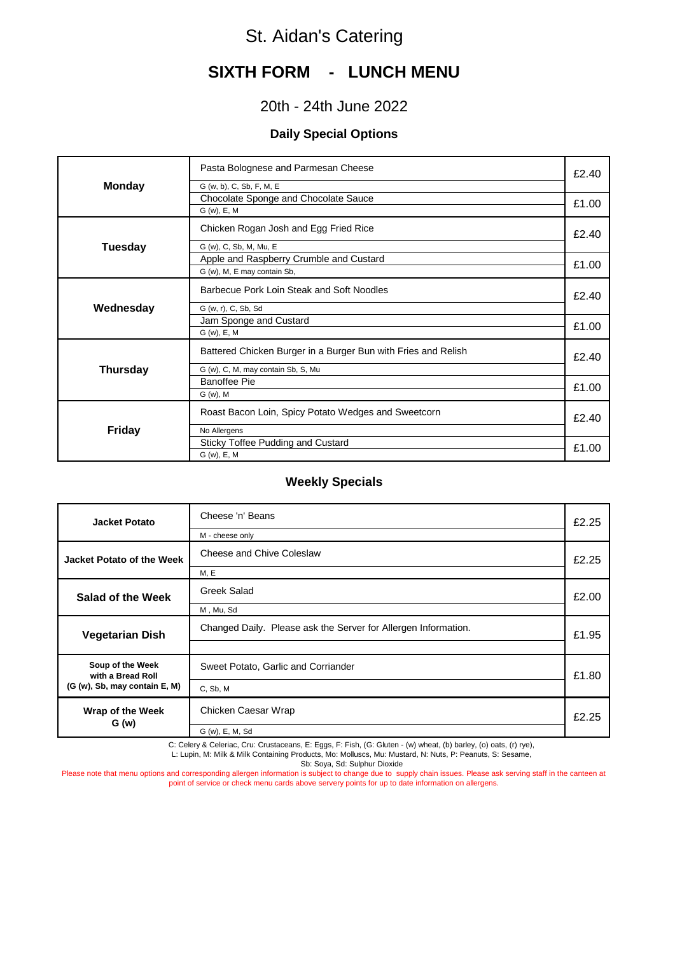## **SIXTH FORM - LUNCH MENU**

### 20th - 24th June 2022

#### **Daily Special Options**

|                 | Pasta Bolognese and Parmesan Cheese                           | £2.40 |
|-----------------|---------------------------------------------------------------|-------|
| <b>Monday</b>   | G (w, b), C, Sb, F, M, E                                      |       |
|                 | Chocolate Sponge and Chocolate Sauce                          |       |
|                 | G (w), E, M                                                   | £1.00 |
|                 | Chicken Rogan Josh and Egg Fried Rice                         | £2.40 |
| Tuesday         | G (w), C, Sb, M, Mu, E                                        |       |
|                 | Apple and Raspberry Crumble and Custard                       | £1.00 |
|                 | G (w), M, E may contain Sb,                                   |       |
|                 | Barbecue Pork Loin Steak and Soft Noodles                     | £2.40 |
| Wednesday       | G (w, r), C, Sb, Sd                                           |       |
|                 | Jam Sponge and Custard                                        |       |
|                 | G (w), E, M                                                   | £1.00 |
|                 | Battered Chicken Burger in a Burger Bun with Fries and Relish | £2.40 |
| <b>Thursday</b> | G (w), C, M, may contain Sb, S, Mu                            |       |
|                 | <b>Banoffee Pie</b>                                           | £1.00 |
|                 | G (w), M                                                      |       |
|                 | Roast Bacon Loin, Spicy Potato Wedges and Sweetcorn           | £2.40 |
| <b>Friday</b>   | No Allergens                                                  |       |
|                 | Sticky Toffee Pudding and Custard                             |       |
|                 | G (w), E, M                                                   | £1.00 |

#### **Weekly Specials**

| Jacket Potato                                                          | Cheese 'n' Beans<br>M - cheese only                            |       |  |  |
|------------------------------------------------------------------------|----------------------------------------------------------------|-------|--|--|
| Jacket Potato of the Week                                              | Cheese and Chive Coleslaw<br>£2.25<br>M, E                     |       |  |  |
| Salad of the Week                                                      | Greek Salad<br>M, Mu, Sd                                       | £2.00 |  |  |
| <b>Vegetarian Dish</b>                                                 | Changed Daily. Please ask the Server for Allergen Information. | £1.95 |  |  |
| Soup of the Week<br>with a Bread Roll<br>(G (w), Sb, may contain E, M) | Sweet Potato, Garlic and Corriander<br>C, Sb, M                | £1.80 |  |  |
| Wrap of the Week<br>G(w)                                               | Chicken Caesar Wrap<br>G (w), E, M, Sd                         | £2.25 |  |  |

C: Celery & Celeriac, Cru: Crustaceans, E: Eggs, F: Fish, (G: Gluten - (w) wheat, (b) barley, (o) oats, (r) rye),

L: Lupin, M: Milk & Milk Containing Products, Mo: Molluscs, Mu: Mustard, N: Nuts, P: Peanuts, S: Sesame,

Sb: Soya, Sd: Sulphur Dioxide

Please note that menu options and corresponding allergen information is subject to change due to supply chain issues. Please ask serving staff in the canteen at point of service or check menu cards above servery points for up to date information on allergens.